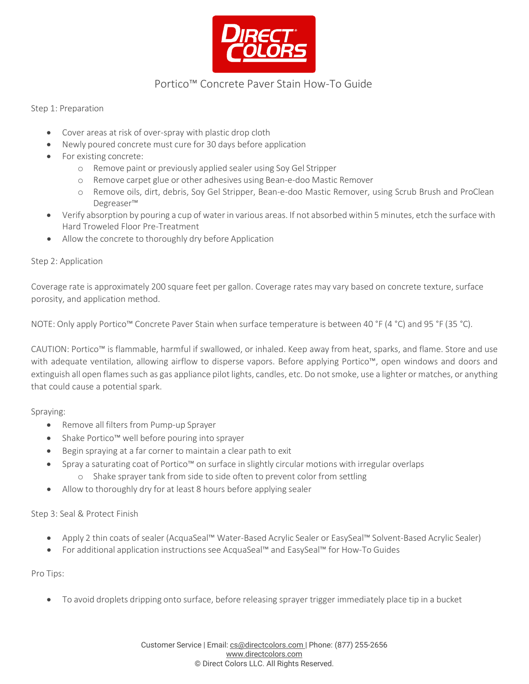

## Portico™ Concrete Paver Stain How-To Guide

Step 1: Preparation

- Cover areas at risk of over-spray with plastic drop cloth
- Newly poured concrete must cure for 30 days before application
- For existing concrete:
	- o Remove paint or previously applied sealer using Soy Gel Stripper
	- o Remove carpet glue or other adhesives using Bean-e-doo Mastic Remover
	- o Remove oils, dirt, debris, Soy Gel Stripper, Bean-e-doo Mastic Remover, using Scrub Brush and ProClean Degreaser™
- Verify absorption by pouring a cup of water in various areas. If not absorbed within 5 minutes, etch the surface with Hard Troweled Floor Pre-Treatment
- Allow the concrete to thoroughly dry before Application

#### Step 2: Application

Coverage rate is approximately 200 square feet per gallon. Coverage rates may vary based on concrete texture, surface porosity, and application method.

NOTE: Only apply Portico™ Concrete Paver Stain when surface temperature is between 40 °F (4 °C) and 95 °F (35 °C).

CAUTION: Portico™ is flammable, harmful if swallowed, or inhaled. Keep away from heat, sparks, and flame. Store and use with adequate ventilation, allowing airflow to disperse vapors. Before applying Portico™, open windows and doors and extinguish all open flames such as gas appliance pilot lights, candles, etc. Do not smoke, use a lighter or matches, or anything that could cause a potential spark.

Spraying:

- Remove all filters from Pump-up Sprayer
- Shake Portico™ well before pouring into sprayer
- Begin spraying at a far corner to maintain a clear path to exit
- Spray a saturating coat of Portico™ on surface in slightly circular motions with irregular overlaps
	- o Shake sprayer tank from side to side often to prevent color from settling
- Allow to thoroughly dry for at least 8 hours before applying sealer

Step 3: Seal & Protect Finish

- Apply 2 thin coats of sealer (AcquaSeal™ Water-Based Acrylic Sealer or EasySeal™ Solvent-Based Acrylic Sealer)
- For additional application instructions see AcquaSeal™ and EasySeal™ for How-To Guides

Pro Tips:

• To avoid droplets dripping onto surface, before releasing sprayer trigger immediately place tip in a bucket